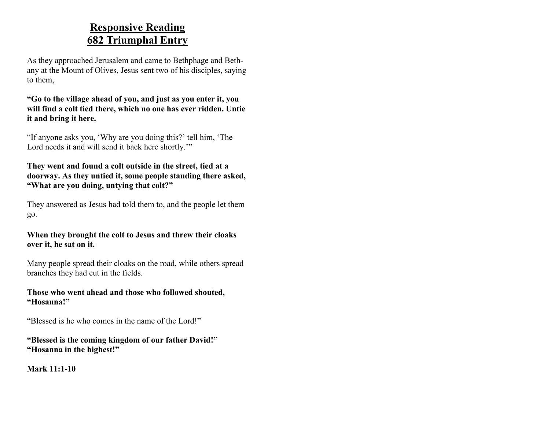#### **Responsive Reading 682 Triumphal Entry**

As they approached Jerusalem and came to Bethphage and Bethany at the Mount of Olives, Jesus sent two of his disciples, saying to them,

**"Go to the village ahead of you, and just as you enter it, you will find a colt tied there, which no one has ever ridden. Untie it and bring it here.**

"If anyone asks you, 'Why are you doing this?' tell him, 'The Lord needs it and will send it back here shortly."

**They went and found a colt outside in the street, tied at a doorway. As they untied it, some people standing there asked, "What are you doing, untying that colt?"**

They answered as Jesus had told them to, and the people let them go.

**When they brought the colt to Jesus and threw their cloaks over it, he sat on it.**

Many people spread their cloaks on the road, while others spread branches they had cut in the fields.

**Those who went ahead and those who followed shouted, "Hosanna!"**

"Blessed is he who comes in the name of the Lord!"

**"Blessed is the coming kingdom of our father David!" "Hosanna in the highest!"**

**Mark 11:1-10**